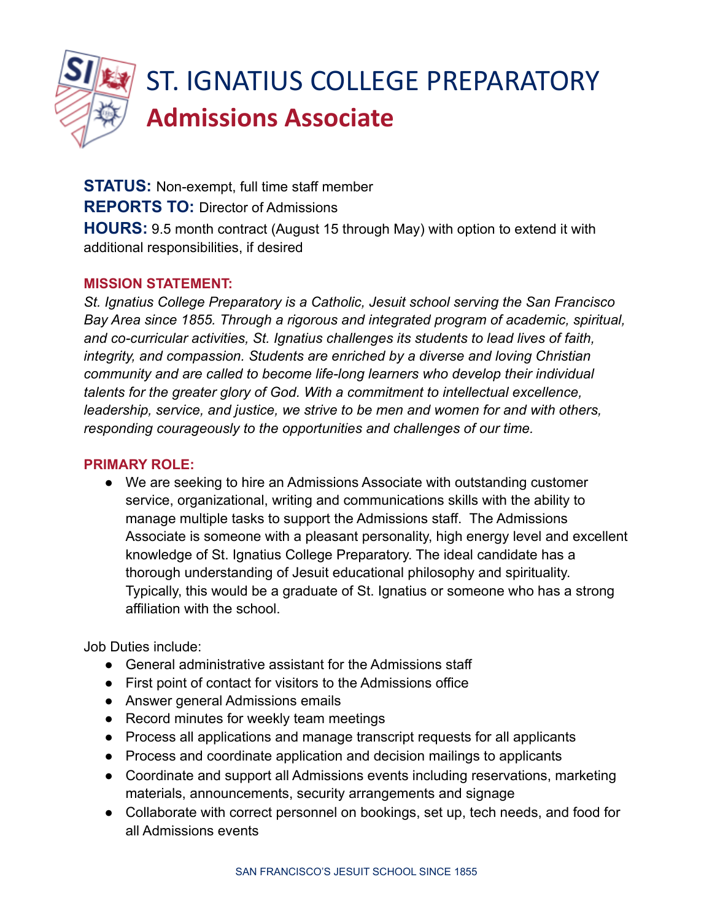

# ST. IGNATIUS COLLEGE PREPARATORY **Admissions Associate**

**STATUS:** Non-exempt, full time staff member **REPORTS TO:** Director of Admissions **HOURS:** 9.5 month contract (August 15 through May) with option to extend it with additional responsibilities, if desired

# **MISSION STATEMENT:**

*St. Ignatius College Preparatory is a Catholic, Jesuit school serving the San Francisco Bay Area since 1855. Through a rigorous and integrated program of academic, spiritual, and co-curricular activities, St. Ignatius challenges its students to lead lives of faith, integrity, and compassion. Students are enriched by a diverse and loving Christian community and are called to become life-long learners who develop their individual talents for the greater glory of God. With a commitment to intellectual excellence, leadership, service, and justice, we strive to be men and women for and with others, responding courageously to the opportunities and challenges of our time.*

## **PRIMARY ROLE:**

● We are seeking to hire an Admissions Associate with outstanding customer service, organizational, writing and communications skills with the ability to manage multiple tasks to support the Admissions staff. The Admissions Associate is someone with a pleasant personality, high energy level and excellent knowledge of St. Ignatius College Preparatory. The ideal candidate has a thorough understanding of Jesuit educational philosophy and spirituality. Typically, this would be a graduate of St. Ignatius or someone who has a strong affiliation with the school.

Job Duties include:

- General administrative assistant for the Admissions staff
- First point of contact for visitors to the Admissions office
- Answer general Admissions emails
- Record minutes for weekly team meetings
- Process all applications and manage transcript requests for all applicants
- Process and coordinate application and decision mailings to applicants
- Coordinate and support all Admissions events including reservations, marketing materials, announcements, security arrangements and signage
- Collaborate with correct personnel on bookings, set up, tech needs, and food for all Admissions events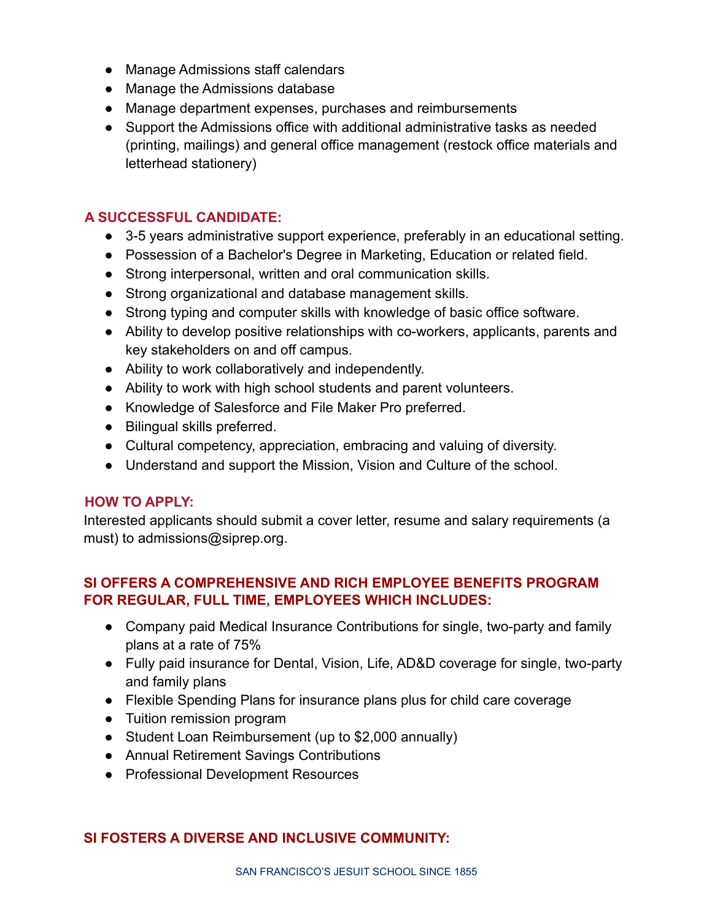- Manage Admissions staff calendars
- Manage the Admissions database
- Manage department expenses, purchases and reimbursements
- Support the Admissions office with additional administrative tasks as needed (printing, mailings) and general office management (restock office materials and letterhead stationery)

# **A SUCCESSFUL CANDIDATE:**

- 3-5 years administrative support experience, preferably in an educational setting.
- Possession of a Bachelor's Degree in Marketing, Education or related field.
- Strong interpersonal, written and oral communication skills.
- Strong organizational and database management skills.
- Strong typing and computer skills with knowledge of basic office software.
- Ability to develop positive relationships with co-workers, applicants, parents and key stakeholders on and off campus.
- Ability to work collaboratively and independently.
- Ability to work with high school students and parent volunteers.
- Knowledge of Salesforce and File Maker Pro preferred.
- Bilingual skills preferred.
- Cultural competency, appreciation, embracing and valuing of diversity.
- Understand and support the Mission, Vision and Culture of the school.

### **HOW TO APPLY:**

Interested applicants should submit a cover letter, resume and salary requirements (a must) to admissions@siprep.org.

# **SI OFFERS A COMPREHENSIVE AND RICH EMPLOYEE BENEFITS PROGRAM FOR REGULAR, FULL TIME, EMPLOYEES WHICH INCLUDES:**

- Company paid Medical Insurance Contributions for single, two-party and family plans at a rate of 75%
- Fully paid insurance for Dental, Vision, Life, AD&D coverage for single, two-party and family plans
- Flexible Spending Plans for insurance plans plus for child care coverage
- Tuition remission program
- Student Loan Reimbursement (up to \$2,000 annually)
- Annual Retirement Savings Contributions
- Professional Development Resources

### **SI FOSTERS A DIVERSE AND INCLUSIVE COMMUNITY:**